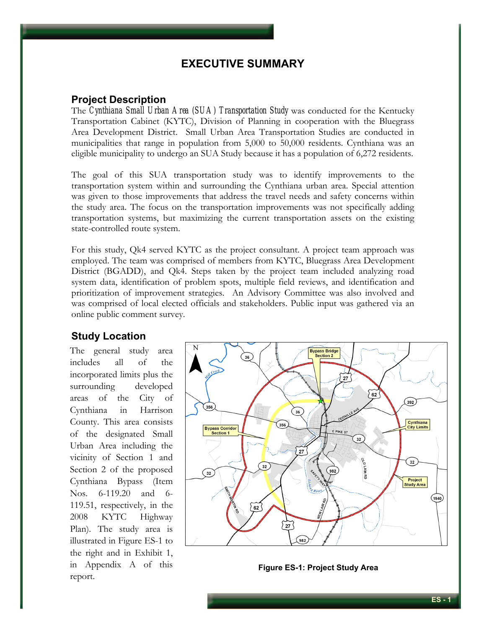## **EXECUTIVE SUMMARY**

## **Project Description**

The *Cynthiana Small Urban Area (SUA) Transportation Study* was conducted for the Kentucky Transportation Cabinet (KYTC), Division of Planning in cooperation with the Bluegrass Area Development District. Small Urban Area Transportation Studies are conducted in municipalities that range in population from 5,000 to 50,000 residents. Cynthiana was an eligible municipality to undergo an SUA Study because it has a population of 6,272 residents.

The goal of this SUA transportation study was to identify improvements to the transportation system within and surrounding the Cynthiana urban area. Special attention was given to those improvements that address the travel needs and safety concerns within the study area. The focus on the transportation improvements was not specifically adding transportation systems, but maximizing the current transportation assets on the existing state-controlled route system.

For this study, Qk4 served KYTC as the project consultant. A project team approach was employed. The team was comprised of members from KYTC, Bluegrass Area Development District (BGADD), and Qk4. Steps taken by the project team included analyzing road system data, identification of problem spots, multiple field reviews, and identification and prioritization of improvement strategies. An Advisory Committee was also involved and was comprised of local elected officials and stakeholders. Public input was gathered via an online public comment survey.

## **Study Location**

The general study area includes all of the incorporated limits plus the surrounding developed areas of the City of Cynthiana in Harrison County. This area consists of the designated Small Urban Area including the vicinity of Section 1 and Section 2 of the proposed Cynthiana Bypass (Item Nos. 6-119.20 and 6- 119.51, respectively, in the 2008 KYTC Highway Plan). The study area is illustrated in Figure ES-1 to the right and in Exhibit 1, in Appendix A of this report.



**Figure ES-1: Project Study Area**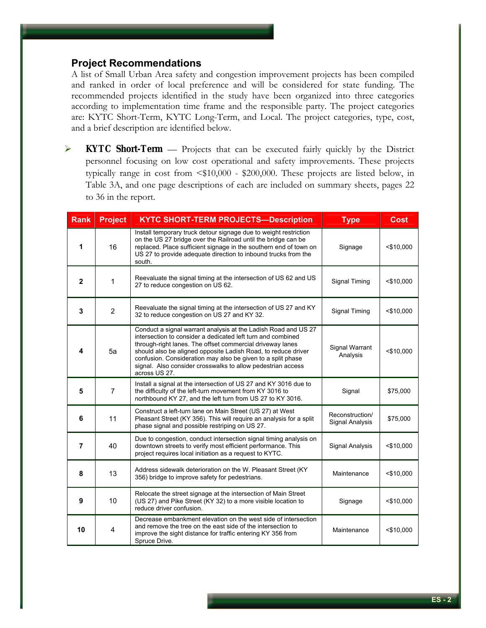## **Project Recommendations**

A list of Small Urban Area safety and congestion improvement projects has been compiled and ranked in order of local preference and will be considered for state funding. The recommended projects identified in the study have been organized into three categories according to implementation time frame and the responsible party. The project categories are: KYTC Short-Term, KYTC Long-Term, and Local. The project categories, type, cost, and a brief description are identified below.

¾ **KYTC Short-Term** — Projects that can be executed fairly quickly by the District personnel focusing on low cost operational and safety improvements. These projects typically range in cost from <\$10,000 - \$200,000. These projects are listed below, in Table 3A, and one page descriptions of each are included on summary sheets, pages 22 to 36 in the report.

| <b>Rank</b>  | <b>Project</b> | <b>KYTC SHORT-TERM PROJECTS-Description</b>                                                                                                                                                                                                                                                                                                                                                                | <b>Type</b>                        | <b>Cost</b>  |
|--------------|----------------|------------------------------------------------------------------------------------------------------------------------------------------------------------------------------------------------------------------------------------------------------------------------------------------------------------------------------------------------------------------------------------------------------------|------------------------------------|--------------|
| 1            | 16             | Install temporary truck detour signage due to weight restriction<br>on the US 27 bridge over the Railroad until the bridge can be<br>replaced. Place sufficient signage in the southern end of town on<br>US 27 to provide adequate direction to inbound trucks from the<br>south.                                                                                                                         | Signage                            | $<$ \$10,000 |
| $\mathbf 2$  | 1              | Reevaluate the signal timing at the intersection of US 62 and US<br>27 to reduce congestion on US 62.                                                                                                                                                                                                                                                                                                      | Signal Timing                      | $<$ \$10,000 |
| 3            | $\overline{2}$ | Reevaluate the signal timing at the intersection of US 27 and KY<br>32 to reduce congestion on US 27 and KY 32.                                                                                                                                                                                                                                                                                            | Signal Timing                      | $<$ \$10,000 |
| 4            | 5a             | Conduct a signal warrant analysis at the Ladish Road and US 27<br>intersection to consider a dedicated left turn and combined<br>through-right lanes. The offset commercial driveway lanes<br>should also be aligned opposite Ladish Road, to reduce driver<br>confusion. Consideration may also be given to a split phase<br>signal. Also consider crosswalks to allow pedestrian access<br>across US 27. | Signal Warrant<br>Analysis         | $<$ \$10,000 |
| 5            | $\overline{7}$ | Install a signal at the intersection of US 27 and KY 3016 due to<br>the difficulty of the left-turn movement from KY 3016 to<br>northbound KY 27, and the left turn from US 27 to KY 3016.                                                                                                                                                                                                                 | Signal                             | \$75,000     |
| 6            | 11             | Construct a left-turn lane on Main Street (US 27) at West<br>Pleasant Street (KY 356). This will require an analysis for a split<br>phase signal and possible restriping on US 27.                                                                                                                                                                                                                         | Reconstruction/<br>Signal Analysis | \$75,000     |
| 7            | 40             | Due to congestion, conduct intersection signal timing analysis on<br>downtown streets to verify most efficient performance. This<br>project requires local initiation as a request to KYTC.                                                                                                                                                                                                                | Signal Analysis                    | $<$ \$10,000 |
| 8            | 13             | Address sidewalk deterioration on the W. Pleasant Street (KY)<br>356) bridge to improve safety for pedestrians.                                                                                                                                                                                                                                                                                            | Maintenance                        | $<$ \$10,000 |
| $\mathbf{9}$ | 10             | Relocate the street signage at the intersection of Main Street<br>(US 27) and Pike Street (KY 32) to a more visible location to<br>reduce driver confusion.                                                                                                                                                                                                                                                | Signage                            | $<$ \$10,000 |
| 10           | 4              | Decrease embankment elevation on the west side of intersection<br>and remove the tree on the east side of the intersection to<br>improve the sight distance for traffic entering KY 356 from<br>Spruce Drive.                                                                                                                                                                                              | Maintenance                        | $<$ \$10,000 |